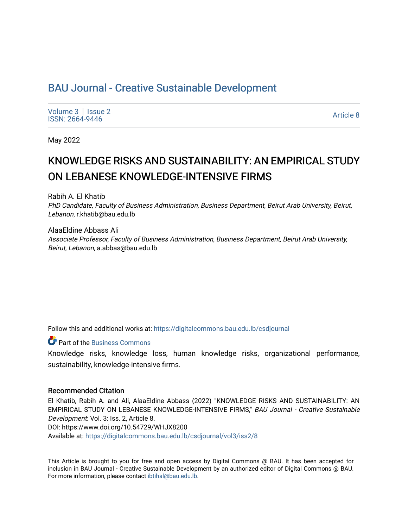## BAU Journal - Creative Sustainable Development

[Volume 3](https://digitalcommons.bau.edu.lb/csdjournal/vol3) | Issue 2 Notative Superior Superior Superior Section 2012 12:00 Article 8<br>ISSN: 2664-9446

May 2022

# KNOWLEDGE RISKS AND SUSTAINABILITY: AN EMPIRICAL STUDY ON LEBANESE KNOWLEDGE-INTENSIVE FIRMS

Rabih A. El Khatib

PhD Candidate, Faculty of Business Administration, Business Department, Beirut Arab University, Beirut, Lebanon, r.khatib@bau.edu.lb

AlaaEldine Abbass Ali Associate Professor, Faculty of Business Administration, Business Department, Beirut Arab University, Beirut, Lebanon, a.abbas@bau.edu.lb

Follow this and additional works at: [https://digitalcommons.bau.edu.lb/csdjournal](https://digitalcommons.bau.edu.lb/csdjournal?utm_source=digitalcommons.bau.edu.lb%2Fcsdjournal%2Fvol3%2Fiss2%2F8&utm_medium=PDF&utm_campaign=PDFCoverPages) 

**C** Part of the [Business Commons](https://network.bepress.com/hgg/discipline/622?utm_source=digitalcommons.bau.edu.lb%2Fcsdjournal%2Fvol3%2Fiss2%2F8&utm_medium=PDF&utm_campaign=PDFCoverPages)

Knowledge risks, knowledge loss, human knowledge risks, organizational performance, sustainability, knowledge-intensive firms.

#### Recommended Citation

El Khatib, Rabih A. and Ali, AlaaEldine Abbass (2022) "KNOWLEDGE RISKS AND SUSTAINABILITY: AN EMPIRICAL STUDY ON LEBANESE KNOWLEDGE-INTENSIVE FIRMS," BAU Journal - Creative Sustainable Development: Vol. 3: Iss. 2, Article 8. DOI: https://www.doi.org/10.54729/WHJX8200 Available at: [https://digitalcommons.bau.edu.lb/csdjournal/vol3/iss2/8](https://digitalcommons.bau.edu.lb/csdjournal/vol3/iss2/8?utm_source=digitalcommons.bau.edu.lb%2Fcsdjournal%2Fvol3%2Fiss2%2F8&utm_medium=PDF&utm_campaign=PDFCoverPages) 

This Article is brought to you for free and open access by Digital Commons @ BAU. It has been accepted for inclusion in BAU Journal - Creative Sustainable Development by an authorized editor of Digital Commons @ BAU. For more information, please contact [ibtihal@bau.edu.lb.](mailto:ibtihal@bau.edu.lb)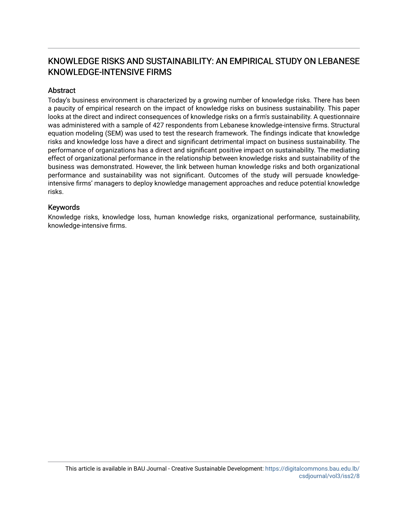## KNOWLEDGE RISKS AND SUSTAINABILITY: AN EMPIRICAL STUDY ON LEBANESE KNOWLEDGE-INTENSIVE FIRMS

## **Abstract**

Today's business environment is characterized by a growing number of knowledge risks. There has been a paucity of empirical research on the impact of knowledge risks on business sustainability. This paper looks at the direct and indirect consequences of knowledge risks on a firm's sustainability. A questionnaire was administered with a sample of 427 respondents from Lebanese knowledge-intensive firms. Structural equation modeling (SEM) was used to test the research framework. The findings indicate that knowledge risks and knowledge loss have a direct and significant detrimental impact on business sustainability. The performance of organizations has a direct and significant positive impact on sustainability. The mediating effect of organizational performance in the relationship between knowledge risks and sustainability of the business was demonstrated. However, the link between human knowledge risks and both organizational performance and sustainability was not significant. Outcomes of the study will persuade knowledgeintensive firms' managers to deploy knowledge management approaches and reduce potential knowledge risks.

## Keywords

Knowledge risks, knowledge loss, human knowledge risks, organizational performance, sustainability, knowledge-intensive firms.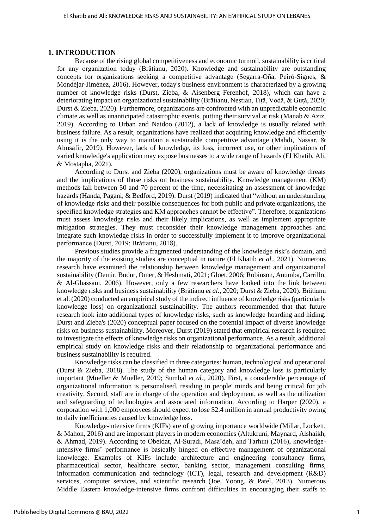#### **1. INTRODUCTION**

Because of the rising global competitiveness and economic turmoil, sustainability is critical for any organization today (Brătianu, 2020). Knowledge and sustainability are outstanding concepts for organizations seeking a competitive advantage (Segarra-Oña, Peiró-Signes, & Mondéjar-Jiménez, 2016). However, today's business environment is characterized by a growing number of knowledge risks (Durst, Zieba, & Aisenberg Ferenhof, 2018), which can have a deteriorating impact on organizational sustainability (Brătianu, Neștian, Tiță, Vodă, & Guță, 2020; Durst & Zieba, 2020). Furthermore, organizations are confronted with an unpredictable economic climate as well as unanticipated catastrophic events, putting their survival at risk (Manab & Aziz, 2019). According to Urban and Naidoo (2012), a lack of knowledge is usually related with business failure. As a result, organizations have realized that acquiring knowledge and efficiently using it is the only way to maintain a sustainable competitive advantage (Mahdi, Nassar, & Almsafir, 2019). However, lack of knowledge, its loss, incorrect use, or other implications of varied knowledge's application may expose businesses to a wide range of hazards (El Khatib, Ali, & Mostapha, 2021).

According to Durst and Zieba (2020), organizations must be aware of knowledge threats and the implications of those risks on business sustainability. Knowledge management (KM) methods fail between 50 and 70 percent of the time, necessitating an assessment of knowledge hazards (Handa, Pagani, & Bedford, 2019). Durst (2019) indicated that "without an understanding of knowledge risks and their possible consequences for both public and private organizations, the specified knowledge strategies and KM approaches cannot be effective". Therefore, organizations must assess knowledge risks and their likely implications, as well as implement appropriate mitigation strategies. They must reconsider their knowledge management approaches and integrate such knowledge risks in order to successfully implement it to improve organizational performance (Durst, 2019; Brătianu, 2018).

Previous studies provide a fragmented understanding of the knowledge risk's domain, and the majority of the existing studies are conceptual in nature (El Khatib *et al.*, 2021). Numerous research have examined the relationship between knowledge management and organizational sustainability (Demir, Budur, Omer, & Heshmati, 2021; Gloet, 2006; Robinson, Anumba, Carrillo, & Al-Ghassani, 2006). However, only a few researchers have looked into the link between knowledge risks and business sustainability (Brătianu *et al.*, 2020; Durst & Zieba, 2020). Brătianu et al. (2020) conducted an empirical study of the indirect influence of knowledge risks (particularly knowledge loss) on organizational sustainability. The authors recommended that that future research look into additional types of knowledge risks, such as knowledge hoarding and hiding. Durst and Zieba's (2020) conceptual paper focused on the potential impact of diverse knowledge risks on business sustainability. Moreover, Durst (2019) stated that empirical research is required to investigate the effects of knowledge risks on organizational performance. As a result, additional empirical study on knowledge risks and their relationship to organizational performance and business sustainability is required.

Knowledge risks can be classified in three categories: human, technological and operational (Durst & Zieba, 2018). The study of the human category and knowledge loss is particularly important (Mueller & Mueller, 2019; Sumbal *et al.*, 2020). First, a considerable percentage of organizational information is personalised, residing in people' minds and being critical for job creativity. Second, staff are in charge of the operation and deployment, as well as the utilization and safeguarding of technologies and associated information. According to Harper (2020), a corporation with 1,000 employees should expect to lose \$2.4 million in annual productivity owing to daily inefficiencies caused by knowledge loss.

Knowledge-intensive firms (KIFs) are of growing importance worldwide (Millar, Lockett, & Mahon, 2016) and are important players in modern economies (Altukruni, Maynard, Alshaikh, & Ahmad, 2019). According to Obeidat, Al-Suradi, Masa'deh, and Tarhini (2016), knowledgeintensive firms' performance is basically hinged on effective management of organizational knowledge. Examples of KIFs include architecture and engineering consultancy firms, pharmaceutical sector, healthcare sector, banking sector, management consulting firms, information communication and technology (ICT), legal, research and development (R&D) services, computer services, and scientific research (Joe, Yoong, & Patel, 2013). Numerous Middle Eastern knowledge-intensive firms confront difficulties in encouraging their staffs to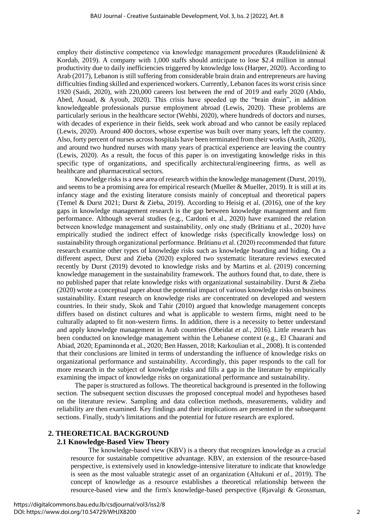employ their distinctive competence via knowledge management procedures (Raudeliūnienė  $\&$ Kordab, 2019). A company with 1,000 staffs should anticipate to lose \$2.4 million in annual productivity due to daily inefficiencies triggered by knowledge loss (Harper, 2020). According to Arab (2017), Lebanon is still suffering from considerable brain drain and entrepreneurs are having difficulties finding skilled and experienced workers. Currently, Lebanon faces its worst crisis since 1920 (Saidi, 2020), with 220,000 careers lost between the end of 2019 and early 2020 (Abdo, Abed, Aouad, & Ayoub, 2020). This crisis have speeded up the "brain drain", in addition knowledgeable professionals pursue employment abroad (Lewis, 2020). These problems are particularly serious in the healthcare sector (Wehbi, 2020), where hundreds of doctors and nurses, with decades of experience in their fields, seek work abroad and who cannot be easily replaced (Lewis, 2020). Around 400 doctors, whose expertise was built over many years, left the country. Also, forty percent of nurses across hospitals have been terminated from their works (Astih, 2020), and around two hundred nurses with many years of practical experience are leaving the country (Lewis, 2020). As a result, the focus of this paper is on investigating knowledge risks in this specific type of organizations, and specifically architectural/engineering firms, as well as healthcare and pharmaceutical sectors.

Knowledge risks is a new area of research within the knowledge management (Durst, 2019), and seems to be a promising area for empirical research (Mueller & Mueller, 2019). It is still at its infancy stage and the existing literature consists mainly of conceptual and theoretical papers (Temel & Durst 2021; Durst & Zieba, 2019). According to Heisig et al. (2016), one of the key gaps in knowledge management research is the gap between knowledge management and firm performance. Although several studies (e.g., Cardoni et al., 2020) have examined the relation between knowledge management and sustainability, only one study (Brătianu et al., 2020) have empirically studied the indirect effect of knowledge risks (specifically knowledge loss) on sustainability through organizational performance. Brătianu et al. (2020) recommended that future research examine other types of knowledge risks such as knowledge hoarding and hiding. On a different aspect, Durst and Zieba (2020) explored two systematic literature reviews executed recently by Durst (2019) devoted to knowledge risks and by Martins et al. (2019) concerning knowledge management in the sustainability framework. The authors found that, to date, there is no published paper that relate knowledge risks with organizational sustainability. Durst & Zieba (2020) wrote a conceptual paper about the potential impact of various knowledge risks on business sustainability. Extant research on knowledge risks are concentrated on developed and western countries. In their study, Skok and Tahir (2010) argued that knowledge management concepts differs based on distinct cultures and what is applicable to western firms, might need to be culturally adapted to fit non-western firms. In addition, there is a necessity to better understand and apply knowledge management in Arab countries (Obeidat *et al.*, 2016). Little research has been conducted on knowledge management within the Lebanese context (e.g., El Chaarani and Abiad, 2020; Epaminonda et al., 2020; Ben Hassen, 2018; Karkoulian et al., 2008). It is contended that their conclusions are limited in terms of understanding the influence of knowledge risks on organizational performance and sustainability. Accordingly, this paper responds to the call for more research in the subject of knowledge risks and fills a gap in the literature by empirically examining the impact of knowledge risks on organizational performance and sustainability.

The paper is structured as follows. The theoretical background is presented in the following section. The subsequent section discusses the proposed conceptual model and hypotheses based on the literature review. Sampling and data collection methods, measurements, validity and reliability are then examined. Key findings and their implications are presented in the subsequent sections. Finally, study's limitations and the potential for future research are explored.

#### **2. THEORETICAL BACKGROUND**

#### **2.1 Knowledge-Based View Theory**

The knowledge-based view (KBV) is a theory that recognizes knowledge as a crucial resource for sustainable competitive advantage. KBV, an extension of the resource-based perspective, is extensively used in knowledge-intensive literature to indicate that knowledge is seen as the most valuable strategic asset of an organization (Altukuni *et al.*, 2019). The concept of knowledge as a resource establishes a theoretical relationship between the resource-based view and the firm's knowledge-based perspective (Rjavalgi & Grossman,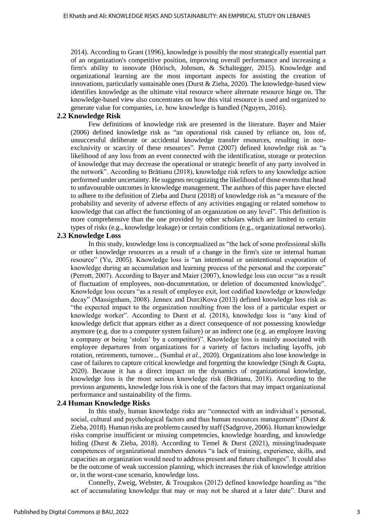2014). According to Grant (1996), knowledge is possibly the most strategically essential part of an organization's competitive position, improving overall performance and increasing a firm's ability to innovate (Hörisch, Johnson, & Schaltegger, 2015). Knowledge and organizational learning are the most important aspects for assisting the creation of innovations, particularly sustainable ones (Durst & Zieba, 2020). The knowledge-based view identifies knowledge as the ultimate vital resource where alternate resource hinge on. The knowledge-based view also concentrates on how this vital resource is used and organized to generate value for companies, i.e. how knowledge is handled (Nguyen, 2016).

## **2.2 Knowledge Risk**

Few definitions of knowledge risk are presented in the literature. Bayer and Maier (2006) defined knowledge risk as "an operational risk caused by reliance on, loss of, unsuccessful deliberate or accidental knowledge transfer resources, resulting in nonexclusivity or scarcity of these resources". Perrot (2007) defined knowledge risk as "a likelihood of any loss from an event connected with the identification, storage or protection of knowledge that may decrease the operational or strategic benefit of any party involved in the network". According to Brătianu (2018), knowledge risk refers to any knowledge action performed under uncertainty. He suggests recognizing the likelihood of those events that head to unfavourable outcomes in knowledge management. The authors of this paper have elected to adhere to the definition of Zieba and Durst (2018) of knowledge risk as "a measure of the probability and severity of adverse effects of any activities engaging or related somehow to knowledge that can affect the functioning of an organization on any level". This definition is more comprehensive than the one provided by other scholars which are limited to certain types of risks (e.g., knowledge leakage) or certain conditions (e.g., organizational networks).

#### **2.3 Knowledge Loss**

In this study, knowledge loss is conceptualized as "the lack of some professional skills or other knowledge resources as a result of a change in the firm's size or internal human resource" (Yu, 2005). Knowledge loss is "an intentional or unintentional evaporation of knowledge during an accumulation and learning process of the personal and the corporate" (Perrott, 2007). According to Bayer and Maier (2007), knowledge loss can occur "as a result of fluctuation of employees, non-documentation, or deletion of documented knowledge". Knowledge loss occurs "as a result of employee exit, lost codified knowledge or knowledge decay" (Massignham, 2008). Jennex and DurciKova (2013) defined knowledge loss risk as "the expected impact to the organization resulting from the loss of a particular expert or knowledge worker". According to Durst et al. (2018), knowledge loss is "any kind of knowledge deficit that appears either as a direct consequence of not possessing knowledge anymore (e.g. due to a computer system failure) or an indirect one (e.g. an employee leaving a company or being 'stolen' by a competitor)". Knowledge loss is mainly associated with employee departures from organizations for a variety of factors including layoffs, job rotation, retirements, turnover... (Sumbal *et al.*, 2020). Organizations also lose knowledge in case of failures to capture critical knowledge and forgetting the knowledge (Singh & Gupta, 2020). Because it has a direct impact on the dynamics of organizational knowledge, knowledge loss is the most serious knowledge risk (Brătianu, 2018). According to the previous arguments, knowledge loss risk is one of the factors that may impact organizational performance and sustainability of the firms.

#### **2.4 Human Knowledge Risks**

In this study, human knowledge risks are "connected with an individual´s personal, social, cultural and psychological factors and thus human resources management" (Durst & Zieba, 2018). Human risks are problems caused by staff (Sadgrove, 2006). Human knowledge risks comprise insufficient or missing competencies, knowledge hoarding, and knowledge hiding (Durst & Zieba, 2018). According to Temel & Durst (2021), missing/inadequate competences of organizational members denotes "a lack of training, experience, skills, and capacities an organization would need to address present and future challenges". It could also be the outcome of weak succession planning, which increases the risk of knowledge attrition or, in the worst-case scenario, knowledge loss.

Connelly, Zweig, Webster, & Trougakos (2012) defined knowledge hoarding as "the act of accumulating knowledge that may or may not be shared at a later date". Durst and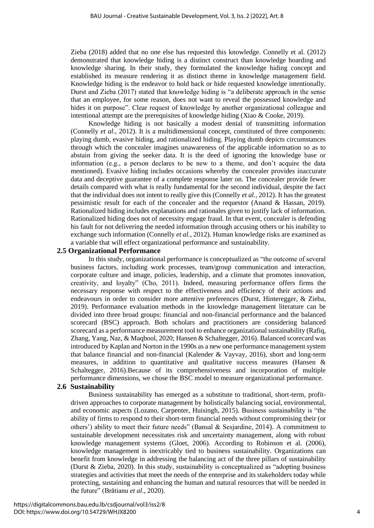Zieba (2018) added that no one else has requested this knowledge. Connelly et al. (2012) demonstrated that knowledge hiding is a distinct construct than knowledge hoarding and knowledge sharing. In their study, they formulated the knowledge hiding concept and established its measure rendering it as distinct theme in knowledge management field. Knowledge hiding is the endeavor to hold back or hide requested knowledge intentionally. Durst and Zieba (2017) stated that knowledge hiding is "a deliberate approach in the sense that an employee, for some reason, does not want to reveal the possessed knowledge and hides it on purpose". Clear request of knowledge by another organizational colleague and intentional attempt are the prerequisites of knowledge hiding (Xiao & Cooke, 2019).

Knowledge hiding is not basically a modest denial of transmitting information (Connelly *et al.*, 2012). It is a multidimensional concept, constituted of three components: playing dumb, evasive hiding, and rationalized hiding. Playing dumb depicts circumstances through which the concealer imagines unawareness of the applicable information so as to abstain from giving the seeker data. It is the deed of ignoring the knowledge base or information (e.g., a person declares to be new to a theme, and don't acquire the data mentioned). Evasive hiding includes occasions whereby the concealer provides inaccurate data and deceptive guarantee of a complete response later on. The concealer provide fewer details compared with what is really fundamental for the second individual, despite the fact that the individual does not intent to really give this (Connelly *et al.*, 2012). It has the greatest pessimistic result for each of the concealer and the requestor (Anand & Hassan, 2019). Rationalized hiding includes explanations and rationales given to justify lack of information. Rationalized hiding does not of necessity engage fraud. In that event, concealer is defending his fault for not delivering the needed information through accusing others or his inability to exchange such information (Connelly *et al.*, 2012). Human knowledge risks are examined as a variable that will effect organizational performance and sustainability.

#### **2.5 Organizational Performance**

In this study, organizational performance is conceptualized as "the outcome of several business factors, including work processes, team/group communication and interaction, corporate culture and image, policies, leadership, and a climate that promotes innovation, creativity, and loyalty" (Cho, 2011). Indeed, measuring performance offers firms the necessary response with respect to the effectiveness and efficiency of their actions and endeavours in order to consider more attentive preferences (Durst, Hinteregger, & Zieba, 2019). Performance evaluation methods in the knowledge management literature can be divided into three broad groups: financial and non-financial performance and the balanced scorecard (BSC) approach. Both scholars and practitioners are considering balanced scorecard as a performance measurement tool to enhance organizational sustainability (Rafiq, Zhang, Yang, Naz, & Maqbool, 2020; Hansen & Schaltegger, 2016). Balanced scorecard was introduced by Kaplan and Norton in the 1990s as a new one performance management system that balance financial and non-financial (Kalender & Vayvay, 2016), short and long-term measures, in addition to quantitative and qualitative success measures (Hansen & Schaltegger, 2016).Because of its comprehensiveness and incorporation of multiple performance dimensions, we chose the BSC model to measure organizational performance.

## **2.6 Sustainability**

Business sustainability has emerged as a substitute to traditional, short-term, profitdriven approaches to corporate management by holistically balancing social, environmental, and economic aspects (Lozano, Carpenter, Huisingh, 2015). Business sustainability is "the ability of firms to respond to their short-term financial needs without compromising their (or others') ability to meet their future needs" (Bansal & Sesjardine, 2014). A commitment to sustainable development necessitates risk and uncertainty management, along with robust knowledge management systems (Gloet, 2006). According to Robinson et al. (2006), knowledge management is inextricably tied to business sustainability. Organizations can benefit from knowledge in addressing the balancing act of the three pillars of sustainability (Durst & Zieba, 2020). In this study, sustainability is conceptualized as "adopting business strategies and activities that meet the needs of the enterprise and its stakeholders today while protecting, sustaining and enhancing the human and natural resources that will be needed in the future" (Brătianu *et al.*, 2020).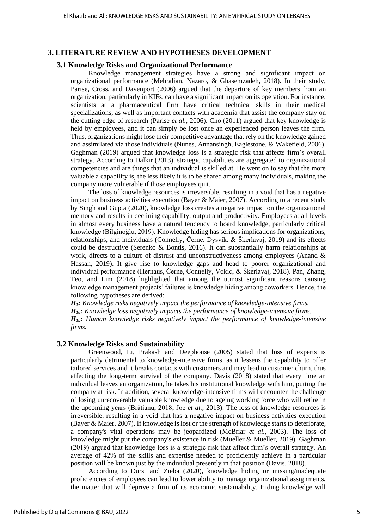#### **3. LITERATURE REVIEW AND HYPOTHESES DEVELOPMENT**

#### **3.1 Knowledge Risks and Organizational Performance**

Knowledge management strategies have a strong and significant impact on organizational performance (Mehralian, Nazaro, & Ghasemzadeh, 2018). In their study, Parise, Cross, and Davenport (2006) argued that the departure of key members from an organization, particularly in KIFs, can have a significant impact on its operation. For instance, scientists at a pharmaceutical firm have critical technical skills in their medical specializations, as well as important contacts with academia that assist the company stay on the cutting edge of research (Parise *et al.*, 2006). Cho (2011) argued that key knowledge is held by employees, and it can simply be lost once an experienced person leaves the firm. Thus, organizations might lose their competitive advantage that rely on the knowledge gained and assimilated via those individuals (Nunes, Annansingh, Eaglestone, & Wakefield, 2006). Gaghman (2019) argued that knowledge loss is a strategic risk that affects firm's overall strategy. According to Dalkir (2013), strategic capabilities are aggregated to organizational competencies and are things that an individual is skilled at. He went on to say that the more valuable a capability is, the less likely it is to be shared among many individuals, making the company more vulnerable if those employees quit.

The loss of knowledge resources is irreversible, resulting in a void that has a negative impact on business activities execution (Bayer & Maier, 2007). According to a recent study by Singh and Gupta (2020), knowledge loss creates a negative impact on the organizational memory and results in declining capability, output and productivity. Employees at all levels in almost every business have a natural tendency to hoard knowledge, particularly critical knowledge (Bilginoğlu, 2019). Knowledge hiding has serious implications for organizations, relationships, and individuals (Connelly, Černe, Dysvik, & Škerlavaj, 2019) and its effects could be destructive (Serenko & Bontis, 2016). It can substantially harm relationships at work, directs to a culture of distrust and unconstructiveness among employees (Anand & Hassan, 2019). It give rise to knowledge gaps and head to poorer organizational and individual performance (Hernaus, Černe, Connelly, Vokic, & Škerlavaj, 2018). Pan, Zhang, Teo, and Lim (2018) highlighted that among the utmost significant reasons causing knowledge management projects' failures is knowledge hiding among coworkers. Hence, the following hypotheses are derived:

*H1: Knowledge risks negatively impact the performance of knowledge-intensive firms.*

*H1a: Knowledge loss negatively impacts the performance of knowledge-intensive firms. H1b: Human knowledge risks negatively impact the performance of knowledge-intensive* 

*firms.*

#### **3.2 Knowledge Risks and Sustainability**

Greenwood, Li, Prakash and Deephouse (2005) stated that loss of experts is particularly detrimental to knowledge-intensive firms, as it lessens the capability to offer tailored services and it breaks contacts with customers and may lead to customer churn, thus affecting the long-term survival of the company. Davis (2018) stated that every time an individual leaves an organization, he takes his institutional knowledge with him, putting the company at risk. In addition, several knowledge-intensive firms will encounter the challenge of losing unrecoverable valuable knowledge due to ageing working force who will retire in the upcoming years (Brătianu, 2018; Joe *et al.*, 2013). The loss of knowledge resources is irreversible, resulting in a void that has a negative impact on business activities execution (Bayer & Maier, 2007). If knowledge is lost or the strength of knowledge starts to deteriorate, a company's vital operations may be jeopardized (McBriar *et al.*, 2003). The loss of knowledge might put the company's existence in risk (Mueller & Mueller, 2019). Gaghman (2019) argued that knowledge loss is a strategic risk that affect firm's overall strategy. An average of 42% of the skills and expertise needed to proficiently achieve in a particular position will be known just by the individual presently in that position (Davis, 2018).

According to Durst and Zieba (2020), knowledge hiding or missing/inadequate proficiencies of employees can lead to lower ability to manage organizational assignments, the matter that will deprive a firm of its economic sustainability. Hiding knowledge will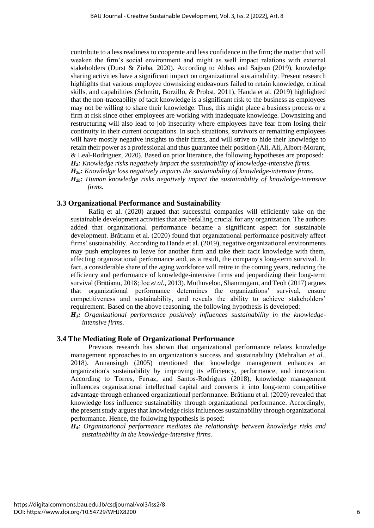contribute to a less readiness to cooperate and less confidence in the firm; the matter that will weaken the firm's social environment and might as well impact relations with external stakeholders (Durst & Zieba, 2020). According to Abbas and Sağsan (2019), knowledge sharing activities have a significant impact on organizational sustainability. Present research highlights that various employee downsizing endeavours failed to retain knowledge, critical skills, and capabilities (Schmitt, Borzillo, & Probst, 2011). Handa et al. (2019) highlighted that the non-traceability of tacit knowledge is a significant risk to the business as employees may not be willing to share their knowledge. Thus, this might place a business process or a firm at risk since other employees are working with inadequate knowledge. Downsizing and restructuring will also lead to job insecurity where employees have fear from losing their continuity in their current occupations. In such situations, survivors or remaining employees will have mostly negative insights to their firms, and will strive to hide their knowledge to retain their power as a professional and thus guarantee their position (Ali, Ali, Albort-Morant, & Leal-Rodriguez, 2020). Based on prior literature, the following hypotheses are proposed: *H2: Knowledge risks negatively impact the sustainability of knowledge-intensive firms. H2a: Knowledge loss negatively impacts the sustainability of knowledge-intensive firms. H2b: Human knowledge risks negatively impact the sustainability of knowledge-intensive firms.*

#### **3.3 Organizational Performance and Sustainability**

Rafiq et al. (2020) argued that successful companies will efficiently take on the sustainable development activities that are befalling crucial for any organization. The authors added that organizational performance became a significant aspect for sustainable development. Brătianu et al. (2020) found that organizational performance positively affect firms' sustainability. According to Handa et al. (2019), negative organizational environments may push employees to leave for another firm and take their tacit knowledge with them, affecting organizational performance and, as a result, the company's long-term survival. In fact, a considerable share of the aging workforce will retire in the coming years, reducing the efficiency and performance of knowledge-intensive firms and jeopardizing their long-term survival (Brătianu, 2018; Joe *et al.*, 2013). Muthuveloo, Shanmugam, and Teoh (2017) argues that organizational performance determines the organizations' survival, ensure competitiveness and sustainability, and reveals the ability to achieve stakeholders' requirement. Based on the above reasoning, the following hypothesis is developed:

*H3: Organizational performance positively influences sustainability in the knowledgeintensive firms.*

## **3.4 The Mediating Role of Organizational Performance**

Previous research has shown that organizational performance relates knowledge management approaches to an organization's success and sustainability (Mehralian *et al.*, 2018). Annansingh (2005) mentioned that knowledge management enhances an organization's sustainability by improving its efficiency, performance, and innovation. According to Torres, Ferraz, and Santos-Rodrigues (2018), knowledge management influences organizational intellectual capital and converts it into long-term competitive advantage through enhanced organizational performance. Brătianu et al. (2020) revealed that knowledge loss influence sustainability through organizational performance. Accordingly, the present study argues that knowledge risks influences sustainability through organizational performance. Hence, the following hypothesis is posed:

*H4: Organizational performance mediates the relationship between knowledge risks and sustainability in the knowledge-intensive firms.*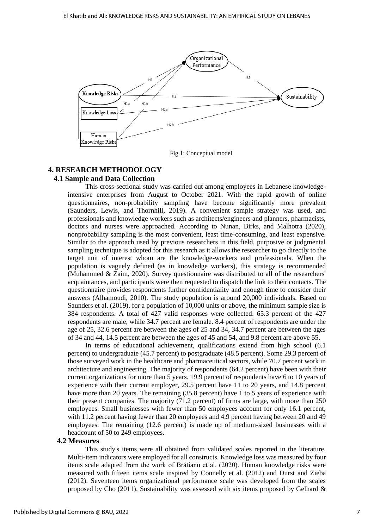

Fig.1: Conceptual model

#### **4. RESEARCH METHODOLOGY**

#### **4.1 Sample and Data Collection**

This cross-sectional study was carried out among employees in Lebanese knowledgeintensive enterprises from August to October 2021. With the rapid growth of online questionnaires, non-probability sampling have become significantly more prevalent (Saunders, Lewis, and Thornhill, 2019). A convenient sample strategy was used, and professionals and knowledge workers such as architects/engineers and planners, pharmacists, doctors and nurses were approached. According to Nunan, Birks, and Malhotra (2020), nonprobability sampling is the most convenient, least time-consuming, and least expensive. Similar to the approach used by previous researchers in this field, purposive or judgmental sampling technique is adopted for this research as it allows the researcher to go directly to the target unit of interest whom are the knowledge-workers and professionals. When the population is vaguely defined (as in knowledge workers), this strategy is recommended (Muhammed & Zaim, 2020). Survey questionnaire was distributed to all of the researchers' acquaintances, and participants were then requested to dispatch the link to their contacts. The questionnaire provides respondents further confidentiality and enough time to consider their answers (Alhamoudi, 2010). The study population is around 20,000 individuals. Based on Saunders et al. (2019), for a population of 10,000 units or above, the minimum sample size is 384 respondents. A total of 427 valid responses were collected. 65.3 percent of the 427 respondents are male, while 34.7 percent are female. 8.4 percent of respondents are under the age of 25, 32.6 percent are between the ages of 25 and 34, 34.7 percent are between the ages of 34 and 44, 14.5 percent are between the ages of 45 and 54, and 9.8 percent are above 55.

In terms of educational achievement, qualifications extend from high school (6.1 percent) to undergraduate (45.7 percent) to postgraduate (48.5 percent). Some 29.3 percent of those surveyed work in the healthcare and pharmaceutical sectors, while 70.7 percent work in architecture and engineering. The majority of respondents (64.2 percent) have been with their current organizations for more than 5 years. 19.9 percent of respondents have 6 to 10 years of experience with their current employer, 29.5 percent have 11 to 20 years, and 14.8 percent have more than 20 years. The remaining (35.8 percent) have 1 to 5 years of experience with their present companies. The majority (71.2 percent) of firms are large, with more than 250 employees. Small businesses with fewer than 50 employees account for only 16.1 percent, with 11.2 percent having fewer than 20 employees and 4.9 percent having between 20 and 49 employees. The remaining (12.6 percent) is made up of medium-sized businesses with a headcount of 50 to 249 employees.

#### **4.2 Measures**

This study's items were all obtained from validated scales reported in the literature. Multi-item indicators were employed for all constructs. Knowledge loss was measured by four items scale adapted from the work of Brătianu et al. (2020). Human knowledge risks were measured with fifteen items scale inspired by Connelly et al. (2012) and Durst and Zieba (2012). Seventeen items organizational performance scale was developed from the scales proposed by Cho (2011). Sustainability was assessed with six items proposed by Gelhard  $\&$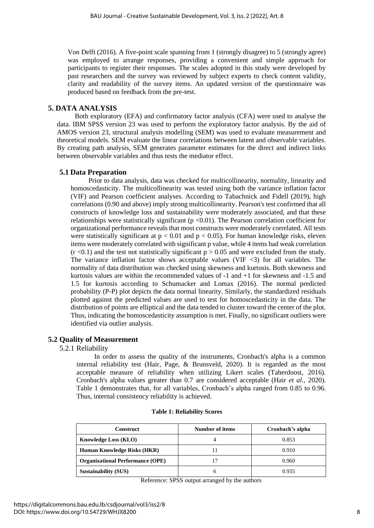Von Delft (2016). A five-point scale spanning from 1 (strongly disagree) to 5 (strongly agree) was employed to arrange responses, providing a convenient and simple approach for participants to register their responses. The scales adopted in this study were developed by past researchers and the survey was reviewed by subject experts to check content validity, clarity and readability of the survey items. An updated version of the questionnaire was produced based on feedback from the pre-test.

## **5. DATA ANALYSIS**

Both exploratory (EFA) and confirmatory factor analysis (CFA) were used to analyse the data. IBM SPSS version 23 was used to perform the exploratory factor analysis. By the aid of AMOS version 23, structural analysis modelling (SEM) was used to evaluate measurement and theoretical models. SEM evaluate the linear correlations between latent and observable variables. By creating path analysis, SEM generates parameter estimates for the direct and indirect links between observable variables and thus tests the mediator effect.

## **5.1 Data Preparation**

Prior to data analysis, data was checked for multicollinearity, normality, linearity and homoscedasticity. The multicollinearity was tested using both the variance inflation factor (VIF) and Pearson coefficient analyses. According to Tabachnick and Fidell (2019), high correlations (0.90 and above) imply strong multicollinearity. Pearson's test confirmed that all constructs of knowledge loss and sustainability were moderately associated, and that these relationships were statistically significant ( $p < 0.01$ ). The Pearson correlation coefficient for organizational performance reveals that most constructs were moderately correlated. All tests were statistically significant at  $p < 0.01$  and  $p < 0.05$ ). For human knowledge risks, eleven items were moderately correlated with significant p value, while 4 items had weak correlation  $(r < 0.1)$  and the test not statistically significant  $p > 0.05$  and were excluded from the study. The variance inflation factor shows acceptable values (VIF  $\langle 3 \rangle$ ) for all variables. The normality of data distribution was checked using skewness and kurtosis. Both skewness and kurtosis values are within the recommended values of -1 and +1 for skewness and -1.5 and 1.5 for kurtosis according to Schumacker and Lomax (2016). The normal predicted probability (P-P) plot depicts the data normal linearity. Similarly, the standardized residuals plotted against the predicted values are used to test for homoscedasticity in the data. The distribution of points are elliptical and the data tended to cluster toward the center of the plot. Thus, indicating the homoscedasticity assumption is met. Finally, no significant outliers were identified via outlier analysis.

## **5.2 Quality of Measurement**

5.2.1 Reliability

In order to assess the quality of the instruments, Cronbach's alpha is a common internal reliability test (Hair, Page, & Brunsveld, 2020). It is regarded as the most acceptable measure of reliability when utilizing Likert scales (Taherdoost, 2016). Cronbach's alpha values greater than 0.7 are considered acceptable (Hair *et al.*, 2020). Table 1 demonstrates that, for all variables, Cronbach's alpha ranged from 0.85 to 0.96. Thus, internal consistency reliability is achieved.

| <b>Construct</b>                        | Number of items | Cronbach's alpha |
|-----------------------------------------|-----------------|------------------|
| <b>Knowledge Loss (KLO)</b>             |                 | 0.853            |
| Human Knowledge Risks (HKR)             |                 | 0.910            |
| <b>Organizational Performance (OPE)</b> |                 | 0.960            |
| <b>Sustainability (SUS)</b>             | n               | 0.935            |

#### **Table 1: Reliability Scores**

Reference: SPSS output arranged by the authors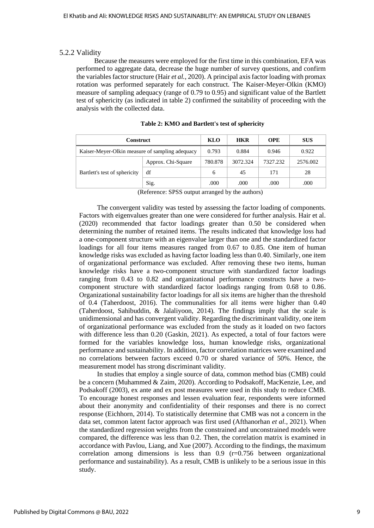#### 5.2.2 Validity

Because the measures were employed for the first time in this combination, EFA was performed to aggregate data, decrease the huge number of survey questions, and confirm the variablesfactor structure (Hair *et al.*, 2020). A principal axis factor loading with promax rotation was performed separately for each construct. The Kaiser-Meyer-Olkin (KMO) measure of sampling adequacy (range of 0.79 to 0.95) and significant value of the Bartlett test of sphericity (as indicated in table 2) confirmed the suitability of proceeding with the analysis with the collected data.

| <b>Construct</b>                                | KLO                | <b>HKR</b> | <b>OPE</b> | <b>SUS</b> |          |
|-------------------------------------------------|--------------------|------------|------------|------------|----------|
| Kaiser-Meyer-Olkin measure of sampling adequacy |                    | 0.793      | 0.884      | 0.946      | 0.922    |
|                                                 | Approx. Chi-Square | 780.878    | 3072.324   | 7327.232   | 2576.002 |
| Bartlett's test of sphericity                   | df                 | 6          | 45         | 171        | 28       |
|                                                 | Sig.               | .000       | .000       | .000       | .000     |

|  | Table 2: KMO and Bartlett's test of sphericity |  |  |  |  |  |
|--|------------------------------------------------|--|--|--|--|--|
|--|------------------------------------------------|--|--|--|--|--|

(Reference: SPSS output arranged by the authors)

The convergent validity was tested by assessing the factor loading of components. Factors with eigenvalues greater than one were considered for further analysis. Hair et al. (2020) recommended that factor loadings greater than 0.50 be considered when determining the number of retained items. The results indicated that knowledge loss had a one-component structure with an eigenvalue larger than one and the standardized factor loadings for all four items measures ranged from 0.67 to 0.85. One item of human knowledge risks was excluded as having factor loading less than 0.40. Similarly, one item of organizational performance was excluded. After removing these two items, human knowledge risks have a two-component structure with standardized factor loadings ranging from 0.43 to 0.82 and organizational performance constructs have a twocomponent structure with standardized factor loadings ranging from 0.68 to 0.86. Organizational sustainability factor loadings for all six items are higher than the threshold of 0.4 (Taherdoost, 2016). The communalities for all items were higher than 0.40 (Taherdoost, Sahibuddin, & Jalaliyoon, 2014). The findings imply that the scale is unidimensional and has convergent validity. Regarding the discriminant validity, one item of organizational performance was excluded from the study as it loaded on two factors with difference less than 0.20 (Gaskin, 2021). As expected, a total of four factors were formed for the variables knowledge loss, human knowledge risks, organizational performance and sustainability. In addition, factor correlation matrices were examined and no correlations between factors exceed 0.70 or shared variance of 50%. Hence, the measurement model has strong discriminant validity.

In studies that employ a single source of data, common method bias (CMB) could be a concern (Muhammed & Zaim, 2020). According to Podsakoff, MacKenzie, Lee, and Podsakoff (2003), ex ante and ex post measures were used in this study to reduce CMB. To encourage honest responses and lessen evaluation fear, respondents were informed about their anonymity and confidentiality of their responses and there is no correct response (Eichhorn, 2014). To statistically determine that CMB was not a concern in the data set, common latent factor approach was first used (Afthanorhan *et al.*, 2021). When the standardized regression weights from the constrained and unconstrained models were compared, the difference was less than 0.2. Then, the correlation matrix is examined in accordance with Pavlou, Liang, and Xue (2007). According to the findings, the maximum correlation among dimensions is less than  $0.9$  ( $r=0.756$  between organizational performance and sustainability). As a result, CMB is unlikely to be a serious issue in this study.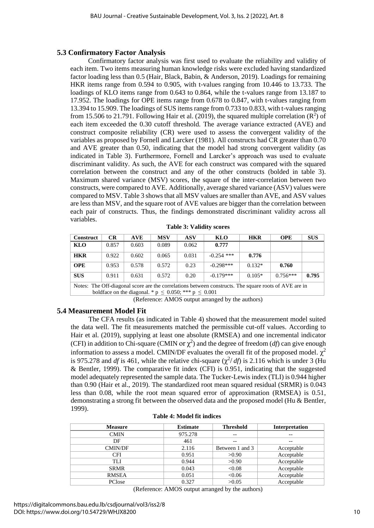## **5.3 Confirmatory Factor Analysis**

Confirmatory factor analysis was first used to evaluate the reliability and validity of each item. Two items measuring human knowledge risks were excluded having standardized factor loading less than 0.5 (Hair, Black, Babin, & Anderson, 2019). Loadings for remaining HKR items range from 0.594 to 0.905, with t-values ranging from 10.446 to 13.733. The loadings of KLO items range from 0.643 to 0.864, while the t-values range from 13.187 to 17.952. The loadings for OPE items range from 0.678 to 0.847, with t-values ranging from 13.394 to 15.909. The loadings of SUS items range from 0.733 to 0.833, with t-values ranging from 15.506 to 21.791. Following Hair et al. (2019), the squared multiple correlation  $(R^2)$  of each item exceeded the 0.30 cutoff threshold. The average variance extracted (AVE) and construct composite reliability (CR) were used to assess the convergent validity of the variables as proposed by Fornell and Larcker (1981). All constructs had CR greater than 0.70 and AVE greater than 0.50, indicating that the model had strong convergent validity (as indicated in Table 3). Furthermore, Fornell and Larcker's approach was used to evaluate discriminant validity. As such, the AVE for each construct was compared with the squared correlation between the construct and any of the other constructs (bolded in table 3). Maximum shared variance (MSV) scores, the square of the inter-correlation between two constructs, were compared to AVE. Additionally, average shared variance (ASV) values were compared to MSV. Table 3 shows that all MSV values are smaller than AVE, and ASV values are less than MSV, and the square root of AVE values are bigger than the correlation between each pair of constructs. Thus, the findings demonstrated discriminant validity across all variables.

| <b>Construct</b>                                                                                      | CR    | <b>AVE</b> | <b>MSV</b> | <b>ASV</b> | KLO          | <b>HKR</b> | <b>OPE</b> | <b>SUS</b> |
|-------------------------------------------------------------------------------------------------------|-------|------------|------------|------------|--------------|------------|------------|------------|
| KLO                                                                                                   | 0.857 | 0.603      | 0.089      | 0.062      | 0.777        |            |            |            |
| <b>HKR</b>                                                                                            | 0.922 | 0.602      | 0.065      | 0.031      | $-0.254$ *** | 0.776      |            |            |
| <b>OPE</b>                                                                                            | 0.953 | 0.578      | 0.572      | 0.23       | $-0.298***$  | $0.132*$   | 0.760      |            |
| <b>SUS</b>                                                                                            | 0.911 | 0.631      | 0.572      | 0.20       | $-0.179***$  | $0.105*$   | $0.756***$ | 0.795      |
| Notes: The Off-diagonal score are the correlations between constructs. The square roots of AVE are in |       |            |            |            |              |            |            |            |

**Table 3: Validity scores**

boldface on the diagonal. \*  $p \leq 0.050$ ; \*\*\*  $p \leq 0.001$ 

(Reference: AMOS output arranged by the authors)

#### **5.4 Measurement Model Fit**

The CFA results (as indicated in Table 4) showed that the measurement model suited the data well. The fit measurements matched the permissible cut-off values. According to Hair et al. (2019), supplying at least one absolute (RMSEA) and one incremental indicator (CFI) in addition to Chi-square (CMIN or  $\chi^2$ ) and the degree of freedom (*df*) can give enough information to assess a model. CMIN/DF evaluates the overall fit of the proposed model.  $\chi^2$ is 975.278 and *df* is 461, while the relative chi-square  $(\chi^2/df)$  is 2.116 which is under 3 (Hu & Bentler, 1999). The comparative fit index (CFI) is  $0.951$ , indicating that the suggested model adequately represented the sample data. The Tucker-Lewis index (TLI) is 0.944 higher than 0.90 (Hair et al., 2019). The standardized root mean squared residual (SRMR) is 0.043 less than 0.08, while the root mean squared error of approximation (RMSEA) is 0.51, demonstrating a strong fit between the observed data and the proposed model (Hu & Bentler, 1999).

| <b>Measure</b> | <b>Estimate</b> | <b>Threshold</b> | Interpretation |
|----------------|-----------------|------------------|----------------|
| <b>CMIN</b>    | 975.278         | $- -$            |                |
| DF             | 461             | $-$              |                |
| <b>CMIN/DF</b> | 2.116           | Between 1 and 3  | Acceptable     |
| <b>CFI</b>     | 0.951           | >0.90            | Acceptable     |
| TLI            | 0.944           | >0.90            | Acceptable     |
| <b>SRMR</b>    | 0.043           | < 0.08           | Acceptable     |
| <b>RMSEA</b>   | 0.051           | < 0.06           | Acceptable     |
| PClose         | 0.327           | >0.05            | Acceptable     |

(Reference: AMOS output arranged by the authors)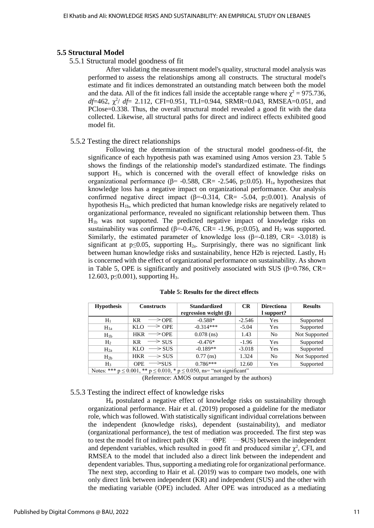#### **5.5 Structural Model**

5.5.1 Structural model goodness of fit

After validating the measurement model's quality, structural model analysis was performed to assess the relationships among all constructs. The structural model's estimate and fit indices demonstrated an outstanding match between both the model and the data. All of the fit indices fall inside the acceptable range where  $\gamma^2 = 975.736$ , *df*=462,  $\chi^2$ / *df*= 2.112, CFI=0.951, TLI=0.944, SRMR=0.043, RMSEA=0.051, and PClose=0.338. Thus, the overall structural model revealed a good fit with the data collected. Likewise, all structural paths for direct and indirect effects exhibited good model fit.

#### 5.5.2 Testing the direct relationships

Following the determination of the structural model goodness-of-fit, the significance of each hypothesis path was examined using Amos version 23. Table 5 shows the findings of the relationship model's standardized estimate. The findings support  $H_1$ , which is concerned with the overall effect of knowledge risks on organizational performance ( $\beta$ = -0.588, CR= -2.546, p≤0.05). H<sub>1a</sub> hypothesizes that knowledge loss has a negative impact on organizational performance. Our analysis confirmed negative direct impact ( $\beta$ =-0.314, CR= -5.04, p≤0.001). Analysis of hypothesis  $H_{1b}$ , which predicted that human knowledge risks are negatively related to organizational performance, revealed no significant relationship between them. Thus H1b was not supported. The predicted negative impact of knowledge risks on sustainability was confirmed ( $\beta$ =-0.476, CR= -1.96, p $\leq$ 0.05), and H<sub>2</sub> was supported. Similarly, the estimated parameter of knowledge loss ( $\beta$ =-0.189, CR= -3.018) is significant at p≤0.05, supporting  $H_{2a}$ . Surprisingly, there was no significant link between human knowledge risks and sustainability, hence H2b is rejected. Lastly,  $H_3$ is concerned with the effect of organizational performance on sustainability. As shown in Table 5, OPE is significantly and positively associated with SUS ( $\beta$ =0.786, CR= 12.603, p≤0.001), supporting H3.

| <b>Hypothesis</b> | <b>Constructs</b>                   | <b>Standardized</b>         | CR       | <b>Directiona</b> | <b>Results</b> |
|-------------------|-------------------------------------|-----------------------------|----------|-------------------|----------------|
|                   |                                     | regression weight $(\beta)$ |          | l support?        |                |
| $H_1$             | <b>KR</b><br>$\longrightarrow$ OPE  | $-0.588*$                   | $-2.546$ | Yes               | Supported      |
| $H_{1a}$          | $\geq$ OPE<br>KLO                   | $-0.314***$                 | $-5.04$  | Yes               | Supported      |
| $H_{1b}$          | $\longrightarrow$ OPE<br><b>HKR</b> | $0.078$ (ns)                | 1.43     | N <sub>0</sub>    | Not Supported  |
| H <sub>2</sub>    | <b>KR</b><br>$\Longrightarrow$ sus  | $-0.476*$                   | $-1.96$  | Yes               | Supported      |
| $H_{2a}$          | KLO<br>$\longrightarrow$ SUS        | $-0.189**$                  | $-3.018$ | Yes               | Supported      |
| $H_{2h}$          | $\Longrightarrow$ SUS<br><b>HKR</b> | $0.77$ (ns)                 | 1.324    | N <sub>0</sub>    | Not Supported  |
| H3                | ≥sus<br><b>OPE</b>                  | $0.786***$                  | 12.60    | Yes               | Supported      |

#### **Table 5: Results for the direct effects**

Notes: \*\*\*  $p \le 0.001$ , \*\*  $p \le 0.010$ , \*  $p \le 0.050$ , ns= "not significant"

(Reference: AMOS output arranged by the authors)

#### 5.5.3 Testing the indirect effect of knowledge risks

H<sup>4</sup> postulated a negative effect of knowledge risks on sustainability through organizational performance. Hair et al. (2019) proposed a guideline for the mediator role, which was followed. With statistically significant individual correlations between the independent (knowledge risks), dependent (sustainability), and mediator (organizational performance), the test of mediation was proceeded. The first step was to test the model fit of indirect path ( $KR = \Theta PE = \Theta$ SUS) between the independent and dependent variables, which resulted in good fit and produced similar  $\chi^2$ , CFI, and RMSEA to the model that included also a direct link between the independent and dependent variables. Thus, supporting a mediating role for organizational performance. The next step, according to Hair et al. (2019) was to compare two models, one with only direct link between independent (KR) and independent (SUS) and the other with the mediating variable (OPE) included. After OPE was introduced as a mediating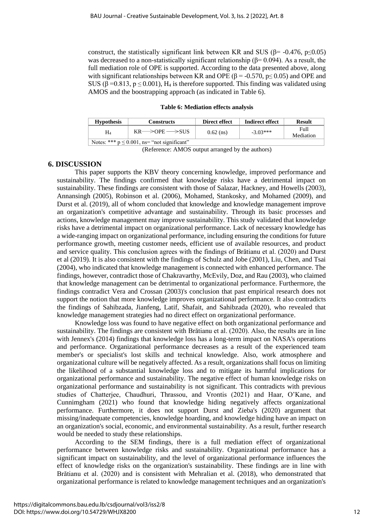construct, the statistically significant link between KR and SUS ( $\beta$ = -0.476, p<0.05) was decreased to a non-statistically significant relationship ( $\beta$ = 0.094). As a result, the full mediation role of OPE is supported. According to the data presented above, along with significant relationships between KR and OPE ( $\beta$  = -0.570,  $p \le 0.05$ ) and OPE and SUS ( $\beta$  =0.813,  $p \le 0.001$ ),  $H_4$  is therefore supported. This finding was validated using AMOS and the boostrapping approach (as indicated in Table 6).

#### **Table 6: Mediation effects analysis**

| <b>Hypothesis</b>                                | Constructs                             | Direct effect | Indirect effect | <b>Result</b>     |  |  |
|--------------------------------------------------|----------------------------------------|---------------|-----------------|-------------------|--|--|
| H4                                               | $KR \rightarrow$ OPE $\rightarrow$ SUS | $0.62$ (ns)   | $-3.03***$      | Full<br>Mediation |  |  |
| Notes: *** $p \le 0.001$ , ns= "not significant" |                                        |               |                 |                   |  |  |

(Reference: AMOS output arranged by the authors)

## **6. DISCUSSION**

This paper supports the KBV theory concerning knowledge, improved performance and sustainability. The findings confirmed that knowledge risks have a detrimental impact on sustainability. These findings are consistent with those of Salazar, Hackney, and Howells (2003), Annansingh (2005), Robinson et al. (2006), Mohamed, Stankosky, and Mohamed (2009), and Durst et al. (2019), all of whom concluded that knowledge and knowledge management improve an organization's competitive advantage and sustainability. Through its basic processes and actions, knowledge management may improve sustainability. This study validated that knowledge risks have a detrimental impact on organizational performance. Lack of necessary knowledge has a wide-ranging impact on organizational performance, including ensuring the conditions for future performance growth, meeting customer needs, efficient use of available resources, and product and service quality. This conclusion agrees with the findings of Brătianu et al. (2020) and Durst et al (2019). It is also consistent with the findings of Schulz and Jobe (2001), Liu, Chen, and Tsai (2004), who indicated that knowledge management is connected with enhanced performance. The findings, however, contradict those of Chakravarthy, McEvily, Doz, and Rau (2003), who claimed that knowledge management can be detrimental to organizational performance. Furthermore, the findings contradict Vera and Crossan (2003)'s conclusion that past empirical research does not support the notion that more knowledge improves organizational performance. It also contradicts the findings of Sahibzada, Jianfeng, Latif, Shafait, and Sahibzada (2020), who revealed that knowledge management strategies had no direct effect on organizational performance.

Knowledge loss was found to have negative effect on both organizational performance and sustainability. The findings are consistent with Brătianu et al. (2020). Also, the results are in line with Jennex's (2014) findings that knowledge loss has a long-term impact on NASA's operations and performance. Organizational performance decreases as a result of the experienced team member's or specialist's lost skills and technical knowledge. Also, work atmosphere and organizational culture will be negatively affected. As a result, organizations shall focus on limiting the likelihood of a substantial knowledge loss and to mitigate its harmful implications for organizational performance and sustainability. The negative effect of human knowledge risks on organizational performance and sustainability is not significant. This contradicts with previous studies of Chatterjee, Chaudhuri, Thrassou, and Vrontis (2021) and Haar, O'Kane, and Cunnimgham (2021) who found that knowledge hiding negatively affects organizational performance. Furthermore, it does not support Durst and Zieba's (2020) argument that missing/inadequate competencies, knowledge hoarding, and knowledge hiding have an impact on an organization's social, economic, and environmental sustainability. As a result, further research would be needed to study these relationships.

According to the SEM findings, there is a full mediation effect of organizational performance between knowledge risks and sustainability. Organizational performance has a significant impact on sustainability, and the level of organizational performance influences the effect of knowledge risks on the organization's sustainability. These findings are in line with Brătianu et al. (2020) and is consistent with Mehralian et al. (2018), who demonstrated that organizational performance is related to knowledge management techniques and an organization's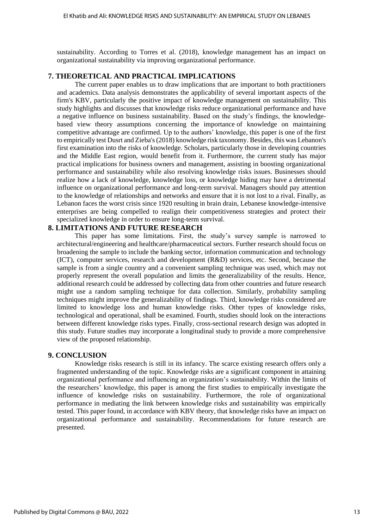sustainability. According to Torres et al. (2018), knowledge management has an impact on organizational sustainability via improving organizational performance.

## **7. THEORETICAL AND PRACTICAL IMPLICATIONS**

The current paper enables us to draw implications that are important to both practitioners and academics. Data analysis demonstrates the applicability of several important aspects of the firm's KBV, particularly the positive impact of knowledge management on sustainability. This study highlights and discusses that knowledge risks reduce organizational performance and have a negative influence on business sustainability. Based on the study's findings, the knowledgebased view theory assumptions concerning the importance of knowledge on maintaining competitive advantage are confirmed. Up to the authors' knowledge, this paper is one of the first to empirically test Dusrt and Zieba's (2018) knowledge risk taxonomy. Besides, this was Lebanon's first examination into the risks of knowledge. Scholars, particularly those in developing countries and the Middle East region, would benefit from it. Furthermore, the current study has major practical implications for business owners and management, assisting in boosting organizational performance and sustainability while also resolving knowledge risks issues. Businesses should realize how a lack of knowledge, knowledge loss, or knowledge hiding may have a detrimental influence on organizational performance and long-term survival. Managers should pay attention to the knowledge of relationships and networks and ensure that it is not lost to a rival. Finally, as Lebanon faces the worst crisis since 1920 resulting in brain drain, Lebanese knowledge-intensive enterprises are being compelled to realign their competitiveness strategies and protect their specialized knowledge in order to ensure long-term survival.

## **8. LIMITATIONS AND FUTURE RESEARCH**

This paper has some limitations. First, the study's survey sample is narrowed to architectural/engineering and healthcare/pharmaceutical sectors. Further research should focus on broadening the sample to include the banking sector, information communication and technology (ICT), computer services, research and development (R&D) services, etc. Second, because the sample is from a single country and a convenient sampling technique was used, which may not properly represent the overall population and limits the generalizability of the results. Hence, additional research could be addressed by collecting data from other countries and future research might use a random sampling technique for data collection. Similarly, probability sampling techniques might improve the generalizability of findings. Third, knowledge risks considered are limited to knowledge loss and human knowledge risks. Other types of knowledge risks, technological and operational, shall be examined. Fourth, studies should look on the interactions between different knowledge risks types. Finally, cross-sectional research design was adopted in this study. Future studies may incorporate a longitudinal study to provide a more comprehensive view of the proposed relationship.

#### **9. CONCLUSION**

Knowledge risks research is still in its infancy. The scarce existing research offers only a fragmented understanding of the topic. Knowledge risks are a significant component in attaining organizational performance and influencing an organization's sustainability. Within the limits of the researchers' knowledge, this paper is among the first studies to empirically investigate the influence of knowledge risks on sustainability. Furthermore, the role of organizational performance in mediating the link between knowledge risks and sustainability was empirically tested. This paper found, in accordance with KBV theory, that knowledge risks have an impact on organizational performance and sustainability. Recommendations for future research are presented.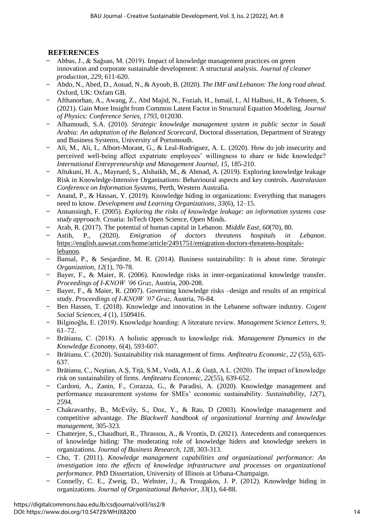## **REFERENCES**

- ̶ Abbas, J., & Sağsan, M. (2019). Impact of knowledge management practices on green innovation and corporate sustainable development: A structural analysis. *Journal of cleaner production, 229*, 611-620.
- ̶ Abdo, N., Abed, D., Aouad, N., & Ayoub, B. (2020). *The IMF and Lebanon: The long road ahead*. Oxford, UK: Oxfam GB.
- ̶ Afthanorhan, A., Awang, Z., Abd Majid, N., Foziah, H., Ismail, I., Al Halbusi, H., & Tehseen, S. (2021). Gain More Insight from Common Latent Factor in Structural Equation Modeling. *Journal of Physics: Conference Series, 1793*, 012030.
- ̶ Alhamoudi, S.A. (2010). *Strategic knowledge management system in public sector in Saudi Arabia: An adaptation of the Balanced Scorecard*, Doctoral dissertation, Department of Strategy and Business Systems, University of Portsmouth.
- ̶ Ali, M., Ali, I., Albort-Morant, G., & Leal-Rodriguez, A. L. (2020). How do job insecurity and perceived well-being affect expatriate employees' willingness to share or hide knowledge? *International Entrepreneurship and Management Journal, 15*, 185-210.
- ̶ Altukuni, H. A., Maynard, S., Alshaikh, M., & Ahmad, A. (2019). Exploring knowledge leakage Risk in Knowledge-Intensive Organisations: Behavioural aspects and key controls. *Australasian Conference on Information Systems*, Perth, Western Australia.
- ̶ Anand, P., & Hassan, Y. (2019). Knowledge hiding in organizations: Everything that managers need to know. *Development and Learning Organizations, 33*(6), 12–15.
- ̶ Annansingh, F. (2005). *Exploring the risks of knowledge leakage: an information systems case study approach*. Croatia: InTech Open Science, Open Minds.
- 
- ̶ Arab, R. (2017). The potential of human capital in Lebanon. *Middle East, 60*(70), 80. P., (2020). *Emigration of doctors threatens hospitals in Lebanon*. [https://english.aawsat.com/home/article/2491751/emigration-doctors-threatens-hospitals](https://english.aawsat.com/home/article/2491751/emigration-doctors-threatens-hospitals-lebanon)[lebanon.](https://english.aawsat.com/home/article/2491751/emigration-doctors-threatens-hospitals-lebanon)
- ̶ Bansal, P., & Sesjardine, M. R. (2014). Business sustainability: It is about time. *Strategic Organization, 12*(1), 70-78.
- ̶ Bayer, F., & Maier, R. (2006). Knowledge risks in inter-organizational knowledge transfer. *Proceedings of I-KNOW '06 Graz*, Austria, 200-208.
- ̶ Bayer, F., & Maier, R. (2007). Governing knowledge risks –design and results of an empirical study. *Proceedings of I-KNOW '07 Graz*, Austria, 76-84.
- ̶ Ben Hassen, T. (2018). Knowledge and innovation in the Lebanese software industry. *Cogent Social Sciences, 4* (1), 1509416.
- ̶ Bilginoğlu, E. (2019). Knowledge hoarding: A literature review*. Management Science Letters, 9*, 61–72.
- ̶ Brătianu, C. (2018). A holistic approach to knowledge risk. *Management Dynamics in the Knowledge Economy*, *6*(4), 593-607.
- ̶ Brătianu, C. (2020). Sustainability risk management of firms. *Amfiteatru Economic*, *22* (55), 635- 637.
- ̶ Brătianu, C., Neștian, A.Ș, Tiță, S.M., Vodă, A.I., & Guță, A.L. (2020). The impact of knowledge risk on sustainability of firms. *Amfiteatru Economic*, *22*(55), 639-652.
- ̶ Cardoni, A., Zanin, F., Corazza, G., & Paradisi, A. (2020). Knowledge management and performance measurement systems for SMEs' economic sustainability. *Sustainability, 12*(7), 2594.
- ̶ Chakravarthy, B., McEvily, S., Doz, Y., & Rau, D (2003). Knowledge management and competitive advantage. *The Blackwell handbook of organizational learning and knowledge management*, 305-323.
- ̶ Chatterjee, S., Chaudhuri, R., Thrassou, A., & Vrontis, D. (2021). Antecedents and consequences of knowledge hiding: The moderating role of knowledge hiders and knowledge seekers in organizations. *Journal of Business Research, 128*, 303-313.
- ̶ Cho, T. (2011). *Knowledge management capabilities and organizational performance: An investigation into the effects of knowledge infrastructure and processes on organizational performance*. PhD Dissertation, University of Illinois at Urbana-Champaign.
- ̶ Connelly, C. E., Zweig, D., Webster, J., & Trougakos, J. P. (2012). Knowledge hiding in organizations. *Journal of Organizational Behavior, 33*(1), 64-88.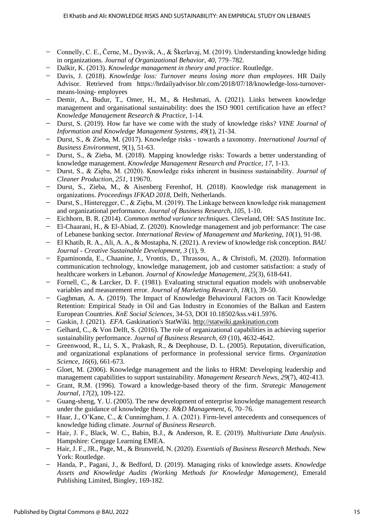- ̶ Connelly, C. E., Černe, M., Dysvik, A., & Škerlavaj, M. (2019). Understanding knowledge hiding in organizations. *Journal of Organizational Behavior, 40*, 779–782.
- ̶ Dalkir, K. (2013). *Knowledge management in theory and practice*. Routledge.
- ̶ Davis, J. (2018). *Knowledge loss: Turnover means losing more than employees*. HR Daily Advisor. Retrieved from https://hrdailyadvisor.blr.com/2018/07/18/knowledge-loss-turnovermeans-losing- employees
- ̶ Demir, A., Budur, T., Omer, H., M., & Heshmati, A. (2021). Links between knowledge management and organisational sustainability: does the ISO 9001 certification have an effect? *Knowledge Management Research & Practice*, 1-14.
- ̶ Durst, S. (2019). How far have we come with the study of knowledge risks? *VINE Journal of Information and Knowledge Management Systems*, *49*(1), 21-34.
- ̶ Durst, S., & Zieba, M. (2017). Knowledge risks towards a taxonomy. *International Journal of Business Environment*, *9*(1), 51-63.
- ̶ Durst, S., & Zieba, M. (2018). Mapping knowledge risks: Towards a better understanding of knowledge management. *Knowledge Management Research and Practice*, *17*, 1-13.
- ̶ Durst, S., & Zięba, M. (2020). Knowledge risks inherent in business sustainability. *Journal of Cleaner Production*, *251*, 119670.
- ̶ Durst, S., Zieba, M., & Aisenberg Ferenhof, H. (2018). Knowledge risk management in organizations. *Proceedings IFKAD 2018*, Delft, Netherlands.
- ̶ Durst, S., Hinteregger, C., & Zięba, M. (2019). The Linkage between knowledge risk management and organizational performance. *Journal of Business Research, 105*, 1-10.
- ̶ Eichhorn, B. R. (2014). *Common method variance techniques*. Cleveland, OH: SAS Institute Inc.
- ̶ El-Chaarani, H., & El-Abiad, Z. (2020). Knowledge management and job performance: The case of Lebanese banking sector. *International Review of Management and Marketing, 10*(1), 91-98.
- ̶ El Khatib, R. A., Ali, A. A., & Mostapha, N. (2021). A review of knowledge risk conception. *BAU Journal - Creative Sustainable Development, 3* (1), 9.
- ̶ Epaminonda, E., Chaanine, J., Vrontis, D., Thrassou, A., & Christofi, M. (2020). Information communication technology, knowledge management, job and customer satisfaction: a study of healthcare workers in Lebanon. *Journal of Knowledge Management, 25*(3), 618-641.
- ̶ Fornell, C., & Larcker, D. F. (1981). Evaluating structural equation models with unobservable variables and measurement error. *Journal of Marketing Research, 18*(1), 39-50.
- ̶ Gaghman, A. A. (2019). The Impact of Knowledge Behavioural Factors on Tacit Knowledge Retention: Empirical Study in Oil and Gas Industry in Economies of the Balkan and Eastern European Countries. *KnE Social Sciences*, 34-53, DOI 10.18502/kss.v4i1.5976.
- ̶ Gaskin, J. (2021). *EFA*. Gaskination's StatWiki. [http://statwiki.gaskination.com](http://statwiki.gaskination.com/)
- ̶ Gelhard, C., & Von Delft, S. (2016). The role of organizational capabilities in achieving superior sustainability performance. *Journal of Business Research, 69* (10), 4632-4642.
- ̶ Greenwood, R., Li, S. X., Prakash, R., & Deephouse, D. L. (2005). Reputation, diversification, and organizational explanations of performance in professional service firms. *Organization Science, 16*(6), 661-673.
- ̶ Gloet, M. (2006). Knowledge management and the links to HRM: Developing leadership and management capabilities to support sustainability. *Management Research News, 29*(7), 402-413.
- ̶ Grant, R.M. (1996). Toward a knowledge-based theory of the firm. *Strategic Management Journal, 17*(2), 109-122.
- ̶ Guang-sheng, Y. U. (2005). The new development of enterprise knowledge management research under the guidance of knowledge theory. *R&D Management, 6*, 70–76.
- ̶ Haar, J., O'Kane, C., & Cunnimgham, J. A. (2021). Firm-level antecedents and consequences of knowledge hiding climate. *Journal of Business Research*.
- ̶ Hair, J. F., Black, W. C., Babin, B.J., & Anderson, R. E. (2019). *Multivariate Data Analysis*. Hampshire: Cengage Learning EMEA.
- ̶ Hair, J. F., JR., Page, M., & Brunsveld, N. (2020). *Essentials of Business Research Methods*. New York: Routledge.
- ̶ Handa, P., Pagani, J., & Bedford, D. (2019). Managing risks of knowledge assets. *Knowledge Assets and Knowledge Audits (Working Methods for Knowledge Management)*, Emerald Publishing Limited, Bingley, 169-182.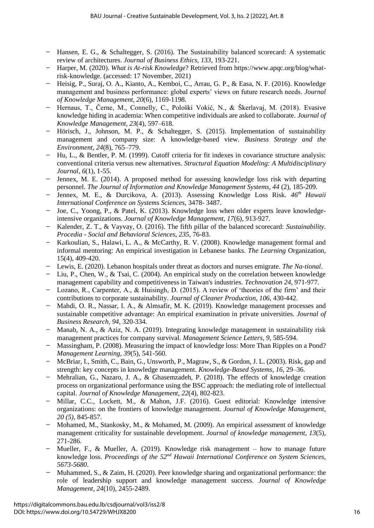- ̶ Hansen, E. G., & Schaltegger, S. (2016). The Sustainability balanced scorecard: A systematic review of architectures. *Journal of Business Ethics, 133*, 193-221.
- ̶ Harper, M. (2020). *What is At-risk Knowledge*? Retrieved from https://www.apqc.org/blog/whatrisk-knowledge. (accessed: 17 November, 2021)
- ̶ Heisig, P., Suraj, O. A., Kianto, A., Kemboi, C., Arrau, G. P., & Easa, N. F. (2016). Knowledge management and business performance: global experts' views on future research needs. *Journal of Knowledge Management, 20*(6), 1169-1198.
- ̶ Hernaus, T., Černe, M., Connelly, C., Pološki Vokić, N., & Škerlavaj, M. (2018). Evasive knowledge hiding in academia: When competitive individuals are asked to collaborate. *Journal of Knowledge Management, 23*(4), 597–618.
- Hörisch, J., Johnson, M. P., & Schaltegger, S. (2015). Implementation of sustainability management and company size: A knowledge-based view. *Business Strategy and the Environment, 24*(8), 765–779.
- Hu, L., & Bentler, P. M. (1999). Cutoff criteria for fit indexes in covariance structure analysis: conventional criteria versus new alternatives. *Structural Equation Modeling: A Multidisciplinary Journal, 6*(1), 1-55.
- ̶ Jennex, M. E. (2014). A proposed method for assessing knowledge loss risk with departing personnel. *The Journal of Information and Knowledge Management Systems, 44* (2), 185-209.
- ̶ Jennex, M. E., & Durcikova, A. (2013). Assessing Knowledge Loss Risk. *46th Hawaii International Conference on Systems Sciences,* 3478- 3487.
- ̶ Joe, C., Yoong, P., & Patel, K. (2013). Knowledge loss when older experts leave knowledgeintensive organizations. *Journal of Knowledge Management, 17*(6), 913-927.
- ̶ Kalender, Z. T., & Vayvay, O. (2016). The fifth pillar of the balanced scorecard: *Sustainability. Procedia - Social and Behavioral Sciences, 235*, 76-83.
- ̶ Karkoulian, S., Halawi, L. A., & McCarthy, R. V. (2008). Knowledge management formal and informal mentoring: An empirical investigation in Lebanese banks. *The Learning* Organization, 15(4), 409-420.
- ̶ Lewis, E. (2020). Lebanon hospitals under threat as doctors and nurses emigrate. *The Na-tional*.
- $-$  Liu, P., Chen, W., & Tsai, C. (2004). An empirical study on the correlation between knowledge management capability and competitiveness in Taiwan's industries. *Technovation 24*, 971-977.
- ̶ Lozano, R., Carpenter, A., & Huisingh, D. (2015). A review of 'theories of the firm' and their contributions to corporate sustainability. *Journal of Cleaner Production, 106*, 430-442.
- ̶ Mahdi, O. R., Nassar, I. A., & Almsafir, M. K. (2019). Knowledge management processes and sustainable competitive advantage: An empirical examination in private universities. *Journal of Business Research, 94*, 320-334.
- ̶ Manab, N. A., & Aziz, N. A. (2019). Integrating knowledge management in sustainability risk management practices for company survival. *Management Science Letters, 9*, 585-594.
- ̶ Massingham, P. (2008). Measuring the impact of knowledge loss: More Than Ripples on a Pond? *Management Learning, 39*(5), 541-560.
- ̶ McBriar, I., Smith, C., Bain, G., Unsworth, P., Magraw, S., & Gordon, J. L. (2003). Risk, gap and strength: key concepts in knowledge management. *Knowledge-Based Systems, 16*, 29–36.
- ̶ Mehralian, G., Nazaro, J. A., & Ghasemzadeh, P. (2018). The effects of knowledge creation process on organizational performance using the BSC approach: the mediating role of intellectual capital. *Journal of Knowledge Management, 22*(4), 802-823.
- Millar, C.C., Lockett, M., & Mahon, J.F. (2016). Guest editorial: Knowledge intensive organizations: on the frontiers of knowledge management*. Journal of Knowledge Management, 20 (5)*, 845-857.
- ̶ Mohamed, M., Stankosky, M., & Mohamed, M. (2009). An empirical assessment of knowledge management criticality for sustainable development. *Journal of knowledge management, 13*(5), 271-286.
- ̶ Mueller, F., & Mueller, A. (2019). Knowledge risk management how to manage future knowledge loss. *Proceedings of the 52nd Hawaii International Conference on System Sciences, 5673-5680*.
- ̶ Muhammed, S., & Zaim, H. (2020). Peer knowledge sharing and organizational performance: the role of leadership support and knowledge management success. *Journal of Knowledge Management, 24*(10), 2455-2489.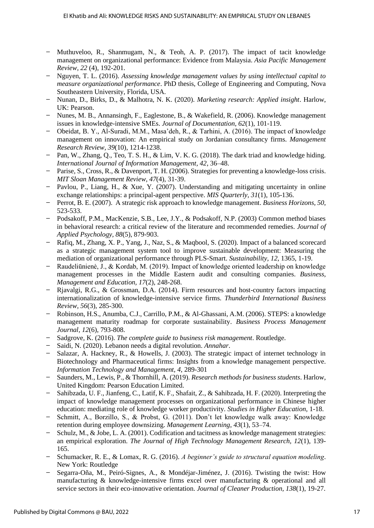- $-$  Muthuveloo, R., Shanmugam, N., & Teoh, A. P. (2017). The impact of tacit knowledge management on organizational performance: Evidence from Malaysia. *Asia Pacific Management Review, 22* (4), 192-201.
- ̶ Nguyen, T. L. (2016). *Assessing knowledge management values by using intellectual capital to measure organizational performance*. PhD thesis, College of Engineering and Computing, Nova Southeastern University, Florida, USA.
- ̶ Nunan, D., Birks, D., & Malhotra, N. K. (2020). *Marketing research: Applied insight*. Harlow, UK: Pearson.
- ̶ Nunes, M. B., Annansingh, F., Eaglestone, B., & Wakefield, R. (2006). Knowledge management issues in knowledge-intensive SMEs. *Journal of Documentation, 62*(1), 101-119.
- ̶ Obeidat, B. Y., Al-Suradi, M.M., Masa'deh, R., & Tarhini, A. (2016). The impact of knowledge management on innovation: An empirical study on Jordanian consultancy firms. *Management Research Review, 39*(10), 1214-1238.
- Pan, W., Zhang, Q., Teo, T. S. H., & Lim, V. K. G. (2018). The dark triad and knowledge hiding. *International Journal of Information Management, 42*, 36–48.
- ̶ Parise, S., Cross, R., & Davenport, T. H. (2006). Strategies for preventing a knowledge-loss crisis. *MIT Sloan Management Review, 47*(4), 31-39.
- ̶ Pavlou, P., Liang, H., & Xue, Y. (2007). Understanding and mitigating uncertainty in online exchange relationships: a principal-agent perspective. *MIS Quarterly, 31*(1), 105-136.
- ̶ Perrot, B. E. (2007). A strategic risk approach to knowledge management. *Business Horizons, 50*, 523-533.
- ̶ Podsakoff, P.M., MacKenzie, S.B., Lee, J.Y., & Podsakoff, N.P. (2003) Common method biases in behavioral research: a critical review of the literature and recommended remedies. *Journal of Applied Psychology, 88*(5), 879-903.
- ̶ Rafiq, M., Zhang, X. P., Yang, J., Naz, S., & Maqbool, S. (2020). Impact of a balanced scorecard as a strategic management system tool to improve sustainable development: Measuring the mediation of organizational performance through PLS-Smart. *Sustainability, 12*, 1365, 1-19.
- ̶ Raudeliūnienė, J., & Kordab, M. (2019). Impact of knowledge oriented leadership on knowledge management processes in the Middle Eastern audit and consulting companies. *Business, Management and Education, 17*(2), 248-268.
- ̶ Rjavalgi, R.G., & Grossman, D.A. (2014). Firm resources and host-country factors impacting internationalization of knowledge-intensive service firms. *Thunderbird International Business Review, 56*(3), 285-300.
- ̶ Robinson, H.S., Anumba, C.J., Carrillo, P.M., & Al-Ghassani, A.M. (2006). STEPS: a knowledge management maturity roadmap for corporate sustainability. *Business Process Management Journal, 12*(6), 793-808.
- ̶ Sadgrove, K. (2016). *The complete guide to business risk management*. Routledge.
- ̶ Saidi, N. (2020). Lebanon needs a digital revolution. *Annahar*.
- ̶ Salazar, A. Hackney, R., & Howells, J. (2003). The strategic impact of internet technology in Biotechnology and Pharmaceutical firms: Insights from a knowledge management perspective. *Information Technology and Management, 4*, 289-301
- ̶ Saunders, M., Lewis, P., & Thornhill, A. (2019). *Research methods for business students*. Harlow, United Kingdom: Pearson Education Limited.
- ̶ Sahibzada, U. F., Jianfeng, C., Latif, K. F., Shafait, Z., & Sahibzada, H. F. (2020). Interpreting the impact of knowledge management processes on organizational performance in Chinese higher education: mediating role of knowledge worker productivity. *Studies in Higher Education*, 1-18.
- ̶ Schmitt, A., Borzillo, S., & Probst, G. (2011). Don't let knowledge walk away: Knowledge retention during employee downsizing. *Management Learning, 43*(1), 53–74.
- ̶ Schulz, M., & Jobe, L. A. (2001). Codification and tacitness as knowledge management strategies: an empirical exploration. *The Journal of High Technology Management Research, 12*(1), 139- 165.
- ̶ Schumacker, R. E., & Lomax, R. G. (2016). *A beginner's guide to structural equation modeling*. New York: Routledge
- ̶ Segarra-Oña, M., Peiró-Signes, A., & Mondéjar-Jiménez, J. (2016). Twisting the twist: How manufacturing & knowledge-intensive firms excel over manufacturing & operational and all service sectors in their eco-innovative orientation. *Journal of Cleaner Production, 138*(1), 19-27.